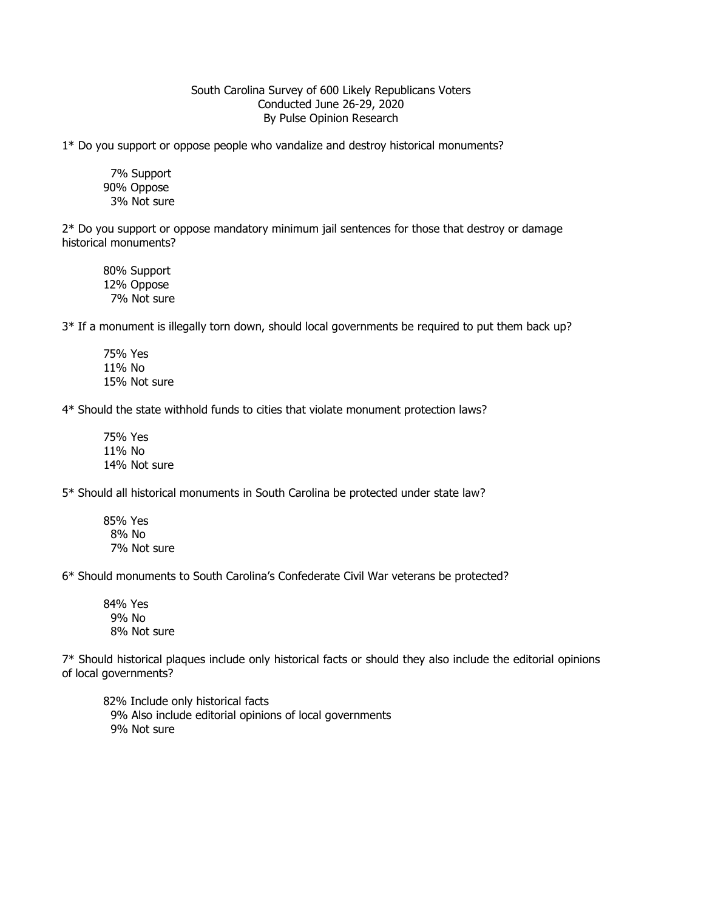## South Carolina Survey of 600 Likely Republicans Voters Conducted June 26-29, 2020 By Pulse Opinion Research

1\* Do you support or oppose people who vandalize and destroy historical monuments?

 7% Support 90% Oppose 3% Not sure

2\* Do you support or oppose mandatory minimum jail sentences for those that destroy or damage historical monuments?

80% Support 12% Oppose 7% Not sure

3\* If a monument is illegally torn down, should local governments be required to put them back up?

75% Yes 11% No 15% Not sure

4\* Should the state withhold funds to cities that violate monument protection laws?

75% Yes 11% No 14% Not sure

5\* Should all historical monuments in South Carolina be protected under state law?

85% Yes 8% No 7% Not sure

6\* Should monuments to South Carolina's Confederate Civil War veterans be protected?

84% Yes 9% No 8% Not sure

7\* Should historical plaques include only historical facts or should they also include the editorial opinions of local governments?

82% Include only historical facts 9% Also include editorial opinions of local governments 9% Not sure